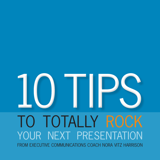# TO TOTALLY ROCK YOUR NEXT PRESENTATION FROM EXECUTIVE COMMUNICATIONS COACH NORA VITZ HARRISON 10 TIPS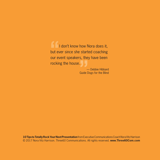I don't know how Nora does it, but ever since she started coaching I don't know how Nora does it,<br>but ever since she started coaching<br>our event speakers, they have been rocking the house.

— Debbie Hibbard Guide Dogs for the Blind Guide D

**10 Tips to Totally Rock Your Next Presentation** from Executive Communications Coach Nora Vitz Harrison © 2017 Nora Vitz Harrison. Three60 Communications. All rights reserved. **www.Three60Com.com**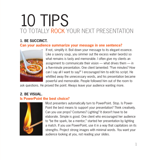# 10 TIPS TO TOTALLY ROCK YOUR NEXT PRESENTATION

# **1. BE SUCCINCT.**

#### **Can your audience summarize your message in one sentence?**



If not, simplify it. Boil down your message to its elegant essence. Like a savory soup, you simmer out the excess water (words) so what remains is tasty and memorable. I often give my clients an assignment to communicate their vision — what drives them — in a five-minute presentation. One client lamented: "Five minutes? How can I say all I want to say?" I encouraged him to edit his script. He whittled away the unnecessary words, and his presentation became powerful and memorable. People followed him out of the room to

ask questions. He proved the point: Always leave your audience wanting more.

# **2. BE VISUAL.**

#### **Is PowerPoint the best choice?**



Most presenters automatically turn to PowerPoint. Stop. Is Power-Point the best means to support your presentation? Think creatively. Can you use props? Costumes? Lighting? It doesn't have to be elaborate. Simple is good. One client who encouraged her audience to "be the spark, be a mentor," started her presentation by lighting a match. If you use PowerPoint, use it in a way that capitalizes on its strengths. Project strong images with minimal words. You want your audience looking at you, not reading your slides.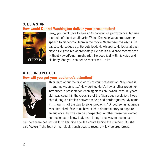#### **3. BE A STAR.**

#### **How would Denzel Washington deliver your presentation?**



Okay, you don't have to give an Oscar-winning performance, but use the tools of the dramatic arts. Watch Denzel give an empowering speech to his football team in the movie *Remember the Titans*. He pauses. He speeds up. He gets loud. He whispers. He looks at each player. He gestures appropriately. He has his audience mesmerized (without PowerPoint, I might add). He does it all with his voice and his body. And you can bet he rehearses – a lot.

### **4. BE UNEXPECTED. How will you get your audience's attention?**



Think hard about the first words of your presentation. "My name is … and my vision is …." How boring. Here's how another presenter introduced a presentation defining his vision: "When I was 10 years old I was caught in the cross-fire of the Nicaragua revolution. I was shot during a skirmish between rebels and border guards. My name is …. War is not the way to solve problems." Of course his audience was enthralled. Few of us have such a dramatic story to capture an audience, but we can be unexpected. Another presenter wanted her audience to know that, even though she was an accountant,

numbers were not just digits to her. She saw the colors behind the numbers. As she said "colors," she took off her black trench coat to reveal a wildly colored dress.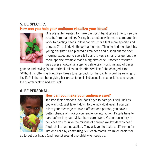#### **5. BE SPECIFIC. How can you help your audience visualize your ideas?**



One presenter wanted to make the point that it takes time to see the results from marketing. During his practice with me he compared his work to planting seeds. "How can you make that more specific and personal?" I asked. He thought a moment. Then he told me about his young daughter. She planted a lima bean and rushed out the next morning expecting to see a full bush. It was a small change, but the more specific example made a big difference. Another presenter was using a football analogy to define teamwork. Instead of being

generic and saying "a quarterback relies on his offensive line," she changed it to: "Without his offensive line, Drew Brees [quarterback for the Saints] would be running for his life." If she had been giving her presentation in Indianapolis, she could have changed the quarterback to Andrew Luck.

#### **6. BE PERSONAL.**



#### **How can you make your audience care?**

Tap into their emotions. You don't have to bare your soul (unless you want to). Just take it down to the individual level. If you can relate your message to how it affects one person, you have a better chance of moving your audience into action. People have to care before they act. Make them care. World Vision doesn't try to convince you to save the millions of children worldwide who need food, shelter and education. They ask you to make a difference for just one child by committing \$39 each month. It's much easier for

us to get our heads (and hearts) around one child who needs us.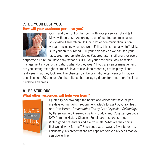# **7. BE YOUR BEST YOU.**

#### **How will your audience perceive you?**



Command the front of the room with your presence. Stand tall. Move with purpose. According to an oft-quoted communications study (Albert Mehrabian, 1967), a lot of communication is nonverbal – including what you wear. Folks, this is the easy stuff. Make sure your shirt is ironed. Pull your hair back so we can see your face. Wear appropriate clothes ("appropriate" is different for every

corporate culture, so I never say "Wear a suit"). For your best cues, look at senior management in your organization. What do they wear? If *you* are senior management, are you setting the right example? I love to use video recordings to help my clients really see what they look like. The changes can be dramatic. After viewing his video, one client lost 20 pounds. Another ditched her college-girl look for a more professional hairstyle and dress.

# **8. BE STUDIOUS.**

#### **What other resources will help you learn?**



I gratefully acknowledge the books and videos that have helped me develop my skills. I recommend *Made to Stick* by Chip Heath and Dan Heath, *Presentation Zen* by Garr Reynolds, *Visionology* by Karen Warner, *Presence* by Amy Cuddy, and *Body Language*, a DVD from the History Channel. People are resources, too. Watch good presenters and ask yourself, "What are they doing that would work for me?" Steve Jobs was always a favorite for me. Fortunately, his presentations are captured forever in videos that you can view online.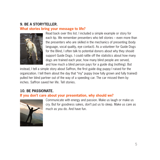# **9. BE A STORYTELLER.**

#### **What stories bring your message to life?**



Read back over this list. I included a simple example or story for each tip. We remember presenters who tell stories – even more than the presenters who are skilled in the mechanics of presenting (body language, vocal quality, eye contact). As a volunteer for Guide Dogs for the Blind, I often talk to potential donors about why they should support Guide Dogs. I could rattle off the statistics about how many dogs are trained each year, how many blind people are served, and how much a blind person pays for a guide dog (nothing). But

instead, I tell a simple story about Saffron, the first guide dog puppy I raised for the organization. I tell them about the day that "my" puppy (now fully grown and fully trained) pulled her blind partner out of the way of a speeding car. The car missed them by inches. Saffron saved her life. Tell stories.

### **10. BE PASSIONATE.**

#### **If you don't care about your presentation, why should we?**



Communicate with energy and passion. Make us laugh or make us cry. But for goodness sakes, don't put us to sleep. Make us care as much as you do. And have fun.